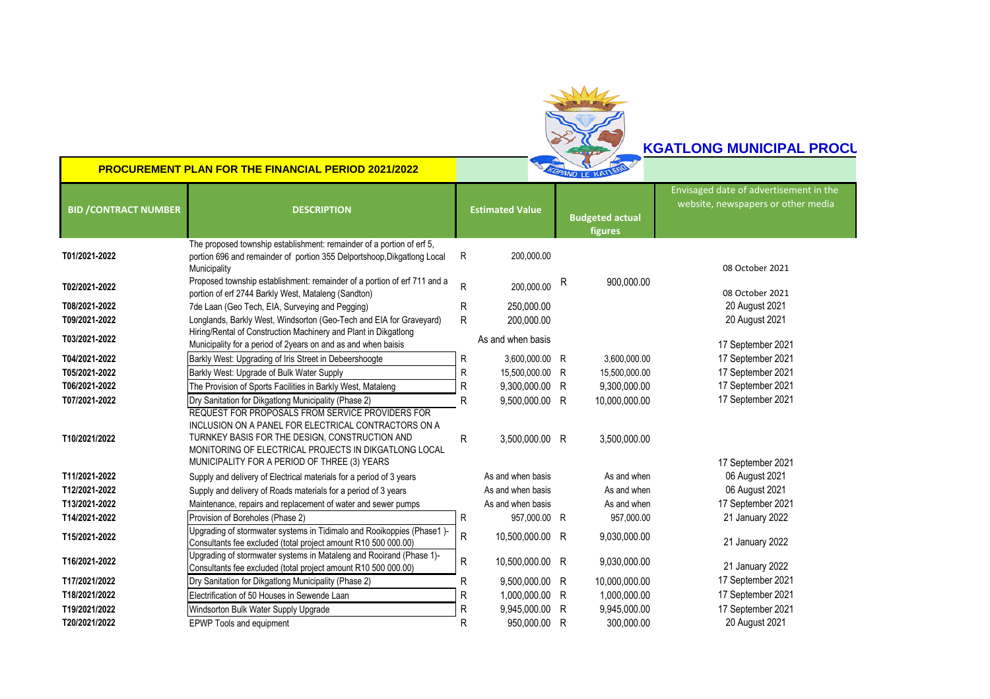

## **2022 NET ACCEDENT MUNICIPAL PROCURE**

**PROCUREMENT PLAN FOR THE FINANCIAL PERIOD 2021/2022**

| <b>BID / CONTRACT NUMBER</b> | <b>DESCRIPTION</b>                                                                                                                                                                                                                                                  |   | <b>Estimated Value</b> |   | <b>Budgeted actual</b><br>figures | Envisaged date of advertisement in the<br>website, newspapers or other media |
|------------------------------|---------------------------------------------------------------------------------------------------------------------------------------------------------------------------------------------------------------------------------------------------------------------|---|------------------------|---|-----------------------------------|------------------------------------------------------------------------------|
| T01/2021-2022                | The proposed township establishment: remainder of a portion of erf 5,<br>portion 696 and remainder of portion 355 Delportshoop, Dikgatlong Local<br>Municipality                                                                                                    | R | 200,000.00             |   |                                   | 08 October 2021                                                              |
| T02/2021-2022                | Proposed township establishment: remainder of a portion of erf 711 and a<br>portion of erf 2744 Barkly West, Mataleng (Sandton)                                                                                                                                     | R | 200,000.00             | R | 900,000.00                        | 08 October 2021                                                              |
| T08/2021-2022                | 7de Laan (Geo Tech, EIA, Surveying and Pegging)                                                                                                                                                                                                                     | R | 250,000.00             |   |                                   | 20 August 2021                                                               |
| T09/2021-2022                | Longlands, Barkly West, Windsorton (Geo-Tech and EIA for Graveyard)                                                                                                                                                                                                 | R | 200,000.00             |   |                                   | 20 August 2021                                                               |
| T03/2021-2022                | Hiring/Rental of Construction Machinery and Plant in Dikgatlong<br>Municipality for a period of 2years on and as and when baisis                                                                                                                                    |   | As and when basis      |   |                                   | 17 September 2021                                                            |
| T04/2021-2022                | Barkly West: Upgrading of Iris Street in Debeershoogte                                                                                                                                                                                                              | R | 3,600,000.00 R         |   | 3,600,000.00                      | 17 September 2021                                                            |
| T05/2021-2022                | Barkly West: Upgrade of Bulk Water Supply                                                                                                                                                                                                                           | R | 15,500,000.00 R        |   | 15,500,000.00                     | 17 September 2021                                                            |
| T06/2021-2022                | The Provision of Sports Facilities in Barkly West, Mataleng                                                                                                                                                                                                         | R | 9,300,000.00 R         |   | 9,300,000.00                      | 17 September 2021                                                            |
| T07/2021-2022                | Dry Sanitation for Dikgatlong Municipality (Phase 2)                                                                                                                                                                                                                | R | 9,500,000.00 R         |   | 10,000,000.00                     | 17 September 2021                                                            |
| T10/2021/2022                | REQUEST FOR PROPOSALS FROM SERVICE PROVIDERS FOR<br>INCLUSION ON A PANEL FOR ELECTRICAL CONTRACTORS ON A<br>TURNKEY BASIS FOR THE DESIGN, CONSTRUCTION AND<br>MONITORING OF ELECTRICAL PROJECTS IN DIKGATLONG LOCAL<br>MUNICIPALITY FOR A PERIOD OF THREE (3) YEARS | R | 3,500,000.00 R         |   | 3,500,000.00                      | 17 September 2021                                                            |
| T11/2021-2022                | Supply and delivery of Electrical materials for a period of 3 years                                                                                                                                                                                                 |   | As and when basis      |   | As and when                       | 06 August 2021                                                               |
| T12/2021-2022                | Supply and delivery of Roads materials for a period of 3 years                                                                                                                                                                                                      |   | As and when basis      |   | As and when                       | 06 August 2021                                                               |
| T13/2021-2022                | Maintenance, repairs and replacement of water and sewer pumps                                                                                                                                                                                                       |   | As and when basis      |   | As and when                       | 17 September 2021                                                            |
| T14/2021-2022                | Provision of Boreholes (Phase 2)                                                                                                                                                                                                                                    | R | 957,000.00 R           |   | 957,000.00                        | 21 January 2022                                                              |
| T15/2021-2022                | Upgrading of stormwater systems in Tidimalo and Rooikoppies (Phase1)-<br>Consultants fee excluded (total project amount R10 500 000.00)                                                                                                                             | R | 10,500,000.00 R        |   | 9,030,000.00                      | 21 January 2022                                                              |
| T16/2021-2022                | Upgrading of stormwater systems in Mataleng and Rooirand (Phase 1)-<br>Consultants fee excluded (total project amount R10 500 000.00)                                                                                                                               | R | 10,500,000.00 R        |   | 9,030,000.00                      | 21 January 2022                                                              |
| T17/2021/2022                | Dry Sanitation for Dikgatlong Municipality (Phase 2)                                                                                                                                                                                                                | R | 9,500,000.00 R         |   | 10,000,000.00                     | 17 September 2021                                                            |
| T18/2021/2022                | Electrification of 50 Houses in Sewende Laan                                                                                                                                                                                                                        | R | 1,000,000.00 R         |   | 1,000,000.00                      | 17 September 2021                                                            |
| T19/2021/2022                | Windsorton Bulk Water Supply Upgrade                                                                                                                                                                                                                                | R | 9.945.000.00 R         |   | 9,945,000.00                      | 17 September 2021                                                            |
| T20/2021/2022                | EPWP Tools and equipment                                                                                                                                                                                                                                            | R | 950,000.00 R           |   | 300.000.00                        | 20 August 2021                                                               |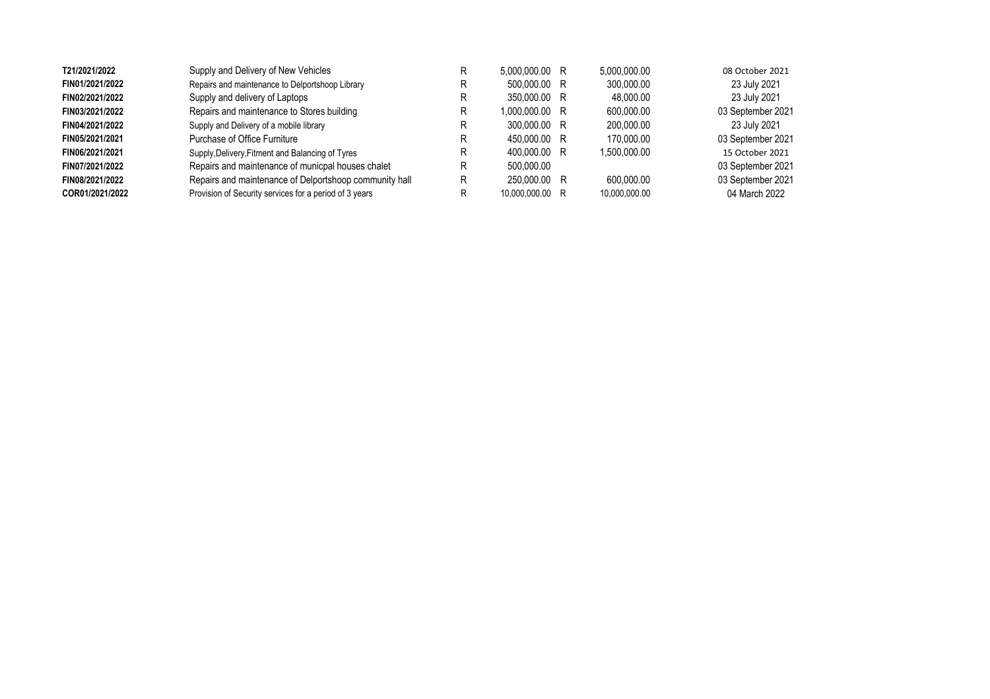| T21/2021/2022   | Supply and Delivery of New Vehicles                    | 5.000.000.00 R  | 5.000.000.00  | 08 October 2021   |
|-----------------|--------------------------------------------------------|-----------------|---------------|-------------------|
| FIN01/2021/2022 | Repairs and maintenance to Delportshoop Library        | 500,000.00 R    | 300.000.00    | 23 July 2021      |
| FIN02/2021/2022 | Supply and delivery of Laptops                         | 350,000.00 R    | 48.000.00     | 23 July 2021      |
| FIN03/2021/2022 | Repairs and maintenance to Stores building             | 1.000.000.00 R  | 600.000.00    | 03 September 2021 |
| FIN04/2021/2022 | Supply and Delivery of a mobile library                | 300,000.00 R    | 200.000.00    | 23 July 2021      |
| FIN05/2021/2021 | Purchase of Office Furniture                           | 450,000.00 R    | 170,000.00    | 03 September 2021 |
| FIN06/2021/2021 | Supply, Delivery, Fitment and Balancing of Tyres       | 400,000,00 R    | 1.500.000.00  | 15 October 2021   |
| FIN07/2021/2022 | Repairs and maintenance of municpal houses chalet      | 500.000.00      |               | 03 September 2021 |
| FIN08/2021/2022 | Repairs and maintenance of Delportshoop community hall | 250,000.00 R    | 600.000.00    | 03 September 2021 |
| COR01/2021/2022 | Provision of Security services for a period of 3 years | 10.000.000.00 R | 10.000.000.00 | 04 March 2022     |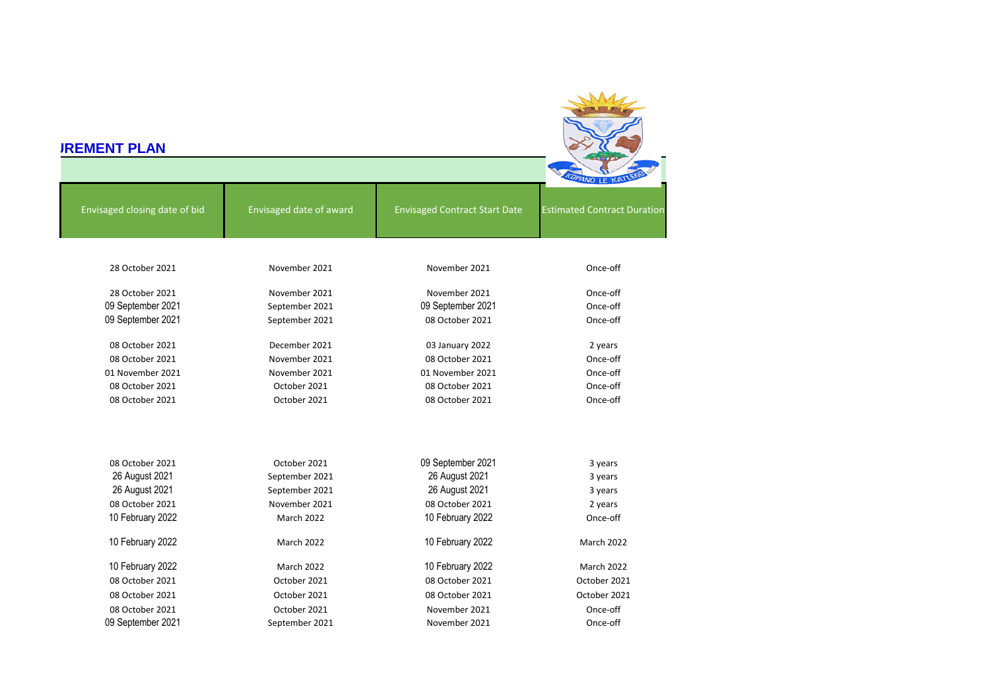| <b>IREMENT PLAN</b>           |                         |                                      |                                    |
|-------------------------------|-------------------------|--------------------------------------|------------------------------------|
|                               |                         |                                      |                                    |
| Envisaged closing date of bid | Envisaged date of award | <b>Envisaged Contract Start Date</b> | <b>Estimated Contract Duration</b> |
| 28 October 2021               | November 2021           | November 2021                        | Once-off                           |
| 28 October 2021               | November 2021           | November 2021                        | Once-off                           |
| 09 September 2021             | September 2021          | 09 September 2021                    | Once-off                           |
| 09 September 2021             | September 2021          | 08 October 2021                      | Once-off                           |
| 08 October 2021               | December 2021           | 03 January 2022                      | 2 years                            |
| 08 October 2021               | November 2021           | 08 October 2021                      | Once-off                           |
| 01 November 2021              | November 2021           | 01 November 2021                     | Once-off                           |
| 08 October 2021               | October 2021            | 08 October 2021                      | Once-off                           |
| 08 October 2021               | October 2021            | 08 October 2021                      | Once-off                           |
| 08 October 2021               | October 2021            | 09 September 2021                    | 3 years                            |
| 26 August 2021                | September 2021          | 26 August 2021                       | 3 years                            |
| 26 August 2021                | September 2021          | 26 August 2021                       | 3 years                            |
| 08 October 2021               | November 2021           | 08 October 2021                      | 2 years                            |
| 10 February 2022              | March 2022              | 10 February 2022                     | Once-off                           |
| 10 February 2022              | March 2022              | 10 February 2022                     | March 2022                         |
| 10 February 2022              | March 2022              | 10 February 2022                     | <b>March 2022</b>                  |
| 08 October 2021               | October 2021            | 08 October 2021                      | October 2021                       |
| 08 October 2021               | October 2021            | 08 October 2021                      | October 2021                       |
| 08 October 2021               | October 2021            | November 2021                        | Once-off                           |
| 09 September 2021             | September 2021          | November 2021                        | Once-off                           |